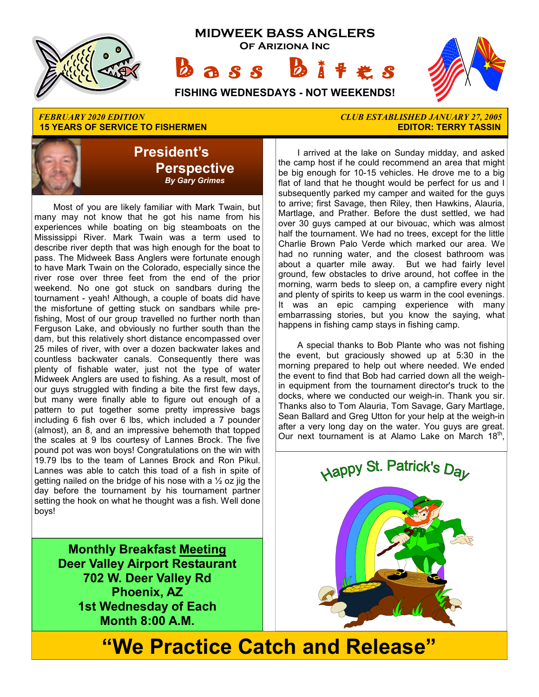

#### *FEBRUARY 2020 EDITION CLUB ESTABLISHED JANUARY 27, 2005*  **15 YEARS OF SERVICE TO FISHERMEN**



 Most of you are likely familiar with Mark Twain, but many may not know that he got his name from his experiences while boating on big steamboats on the Mississippi River. Mark Twain was a term used to describe river depth that was high enough for the boat to pass. The Midweek Bass Anglers were fortunate enough to have Mark Twain on the Colorado, especially since the river rose over three feet from the end of the prior weekend. No one got stuck on sandbars during the tournament - yeah! Although, a couple of boats did have the misfortune of getting stuck on sandbars while prefishing, Most of our group travelled no further north than Ferguson Lake, and obviously no further south than the dam, but this relatively short distance encompassed over 25 miles of river, with over a dozen backwater lakes and countless backwater canals. Consequently there was plenty of fishable water, just not the type of water Midweek Anglers are used to fishing. As a result, most of our guys struggled with finding a bite the first few days, but many were finally able to figure out enough of a pattern to put together some pretty impressive bags including 6 fish over 6 lbs, which included a 7 pounder (almost), an 8, and an impressive behemoth that topped the scales at 9 lbs courtesy of Lannes Brock. The five pound pot was won boys! Congratulations on the win with 19.79 lbs to the team of Lannes Brock and Ron Pikul. Lannes was able to catch this toad of a fish in spite of getting nailed on the bridge of his nose with a  $\frac{1}{2}$  oz jig the day before the tournament by his tournament partner setting the hook on what he thought was a fish. Well done boys!

> **Monthly Breakfast Meeting Deer Valley Airport Restaurant 702 W. Deer Valley Rd Phoenix, AZ 1st Wednesday of Each Month 8:00 A.M.**

 I arrived at the lake on Sunday midday, and asked the camp host if he could recommend an area that might be big enough for 10-15 vehicles. He drove me to a big flat of land that he thought would be perfect for us and I subsequently parked my camper and waited for the guys to arrive; first Savage, then Riley, then Hawkins, Alauria, Martlage, and Prather. Before the dust settled, we had over 30 guys camped at our bivouac, which was almost half the tournament. We had no trees, except for the little Charlie Brown Palo Verde which marked our area. We had no running water, and the closest bathroom was about a quarter mile away. But we had fairly level ground, few obstacles to drive around, hot coffee in the morning, warm beds to sleep on, a campfire every night and plenty of spirits to keep us warm in the cool evenings. It was an epic camping experience with many embarrassing stories, but you know the saying, what happens in fishing camp stays in fishing camp.

 A special thanks to Bob Plante who was not fishing the event, but graciously showed up at 5:30 in the morning prepared to help out where needed. We ended the event to find that Bob had carried down all the weighin equipment from the tournament director's truck to the docks, where we conducted our weigh-in. Thank you sir. Thanks also to Tom Alauria, Tom Savage, Gary Martlage, Sean Ballard and Greg Utton for your help at the weigh-in after a very long day on the water. You guys are great. Our next tournament is at Alamo Lake on March 18<sup>th</sup>,



# **"We Practice Catch and Release"**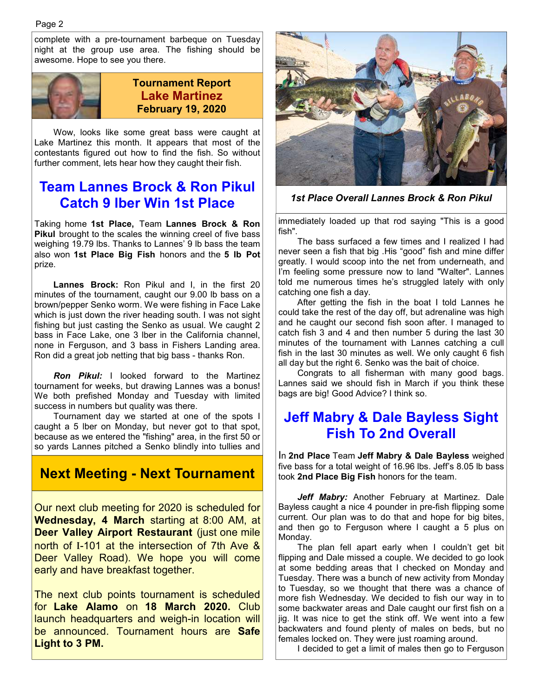complete with a pre-tournament barbeque on Tuesday night at the group use area. The fishing should be awesome. Hope to see you there.



#### **Tournament Report Lake Martinez February 19, 2020**

 Wow, looks like some great bass were caught at Lake Martinez this month. It appears that most of the contestants figured out how to find the fish. So without further comment, lets hear how they caught their fish.

### **Team Lannes Brock & Ron Pikul Catch 9 lber Win 1st Place**

Taking home **1st Place,** Team **Lannes Brock & Ron Pikul** brought to the scales the winning creel of five bass weighing 19.79 lbs. Thanks to Lannes' 9 lb bass the team also won **1st Place Big Fish** honors and the **5 lb Pot**  prize.

**Lannes Brock:** Ron Pikul and I, in the first 20 minutes of the tournament, caught our 9.00 lb bass on a brown/pepper Senko worm. We were fishing in Face Lake which is just down the river heading south. I was not sight fishing but just casting the Senko as usual. We caught 2 bass in Face Lake, one 3 lber in the California channel, none in Ferguson, and 3 bass in Fishers Landing area. Ron did a great job netting that big bass - thanks Ron.

 *Ron Pikul:* I looked forward to the Martinez tournament for weeks, but drawing Lannes was a bonus! We both prefished Monday and Tuesday with limited success in numbers but quality was there.

 Tournament day we started at one of the spots I caught a 5 lber on Monday, but never got to that spot, because as we entered the "fishing" area, in the first 50 or so yards Lannes pitched a Senko blindly into tullies and

#### **Next Meeting - Next Tournament**

Our next club meeting for 2020 is scheduled for **Wednesday, 4 March** starting at 8:00 AM, at **Deer Valley Airport Restaurant** (just one mile north of I-101 at the intersection of 7th Ave & Deer Valley Road). We hope you will come early and have breakfast together.

The next club points tournament is scheduled for **Lake Alamo** on **18 March 2020.** Club launch headquarters and weigh-in location will be announced. Tournament hours are **Safe Light to 3 PM.** 



*1st Place Overall Lannes Brock & Ron Pikul* 

immediately loaded up that rod saying "This is a good fish".

 The bass surfaced a few times and I realized I had never seen a fish that big .His "good" fish and mine differ greatly. I would scoop into the net from underneath, and I'm feeling some pressure now to land "Walter". Lannes told me numerous times he's struggled lately with only catching one fish a day.

 After getting the fish in the boat I told Lannes he could take the rest of the day off, but adrenaline was high and he caught our second fish soon after. I managed to catch fish 3 and 4 and then number 5 during the last 30 minutes of the tournament with Lannes catching a cull fish in the last 30 minutes as well. We only caught 6 fish all day but the right 6. Senko was the bait of choice.

 Congrats to all fisherman with many good bags. Lannes said we should fish in March if you think these bags are big! Good Advice? I think so.

#### **Jeff Mabry & Dale Bayless Sight Fish To 2nd Overall**

In **2nd Place** Team **Jeff Mabry & Dale Bayless** weighed five bass for a total weight of 16.96 lbs. Jeff's 8.05 lb bass took **2nd Place Big Fish** honors for the team.

 *Jeff Mabry:* Another February at Martinez. Dale Bayless caught a nice 4 pounder in pre-fish flipping some current. Our plan was to do that and hope for big bites, and then go to Ferguson where I caught a 5 plus on Monday.

 The plan fell apart early when I couldn't get bit flipping and Dale missed a couple. We decided to go look at some bedding areas that I checked on Monday and Tuesday. There was a bunch of new activity from Monday to Tuesday, so we thought that there was a chance of more fish Wednesday. We decided to fish our way in to some backwater areas and Dale caught our first fish on a jig. It was nice to get the stink off. We went into a few backwaters and found plenty of males on beds, but no females locked on. They were just roaming around.

I decided to get a limit of males then go to Ferguson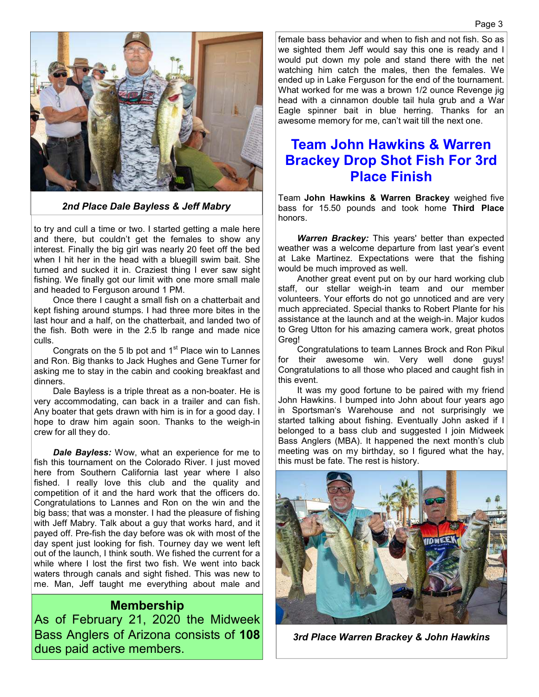

*2nd Place Dale Bayless & Jeff Mabry*

to try and cull a time or two. I started getting a male here and there, but couldn't get the females to show any interest. Finally the big girl was nearly 20 feet off the bed when I hit her in the head with a bluegill swim bait. She turned and sucked it in. Craziest thing I ever saw sight fishing. We finally got our limit with one more small male and headed to Ferguson around 1 PM.

 Once there I caught a small fish on a chatterbait and kept fishing around stumps. I had three more bites in the last hour and a half, on the chatterbait, and landed two of the fish. Both were in the 2.5 lb range and made nice culls.

Congrats on the 5 lb pot and  $1<sup>st</sup>$  Place win to Lannes and Ron. Big thanks to Jack Hughes and Gene Turner for asking me to stay in the cabin and cooking breakfast and dinners.

 Dale Bayless is a triple threat as a non-boater. He is very accommodating, can back in a trailer and can fish. Any boater that gets drawn with him is in for a good day. I hope to draw him again soon. Thanks to the weigh-in crew for all they do.

*Dale Bayless:* Wow, what an experience for me to fish this tournament on the Colorado River. I just moved here from Southern California last year where I also fished. I really love this club and the quality and competition of it and the hard work that the officers do. Congratulations to Lannes and Ron on the win and the big bass; that was a monster. I had the pleasure of fishing with Jeff Mabry. Talk about a guy that works hard, and it payed off. Pre-fish the day before was ok with most of the day spent just looking for fish. Tourney day we went left out of the launch, I think south. We fished the current for a while where I lost the first two fish. We went into back waters through canals and sight fished. This was new to me. Man, Jeff taught me everything about male and

#### **Membership**

As of February 21, 2020 the Midweek Bass Anglers of Arizona consists of **108**  dues paid active members.

female bass behavior and when to fish and not fish. So as we sighted them Jeff would say this one is ready and I would put down my pole and stand there with the net watching him catch the males, then the females. We ended up in Lake Ferguson for the end of the tournament. What worked for me was a brown 1/2 ounce Revenge jig head with a cinnamon double tail hula grub and a War Eagle spinner bait in blue herring. Thanks for an awesome memory for me, can't wait till the next one.

#### **Team John Hawkins & Warren Brackey Drop Shot Fish For 3rd Place Finish**

Team **John Hawkins & Warren Brackey** weighed five bass for 15.50 pounds and took home **Third Place**  honors.

*Warren Brackey:* This years' better than expected weather was a welcome departure from last year's event at Lake Martinez. Expectations were that the fishing would be much improved as well.

 Another great event put on by our hard working club staff, our stellar weigh-in team and our member volunteers. Your efforts do not go unnoticed and are very much appreciated. Special thanks to Robert Plante for his assistance at the launch and at the weigh-in. Major kudos to Greg Utton for his amazing camera work, great photos Greg!

 Congratulations to team Lannes Brock and Ron Pikul for their awesome win. Very well done guys! Congratulations to all those who placed and caught fish in this event.

 It was my good fortune to be paired with my friend John Hawkins. I bumped into John about four years ago in Sportsman's Warehouse and not surprisingly we started talking about fishing. Eventually John asked if I belonged to a bass club and suggested I join Midweek Bass Anglers (MBA). It happened the next month's club meeting was on my birthday, so I figured what the hay, this must be fate. The rest is history.



*3rd Place Warren Brackey & John Hawkins*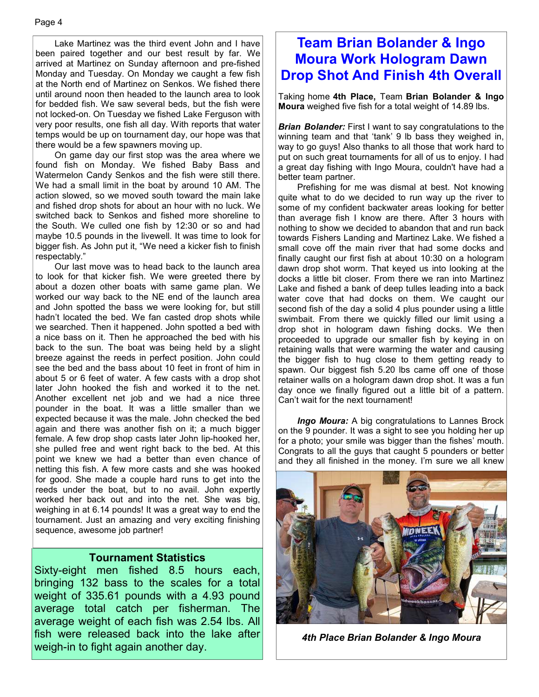Lake Martinez was the third event John and I have been paired together and our best result by far. We arrived at Martinez on Sunday afternoon and pre-fished Monday and Tuesday. On Monday we caught a few fish at the North end of Martinez on Senkos. We fished there until around noon then headed to the launch area to look for bedded fish. We saw several beds, but the fish were not locked-on. On Tuesday we fished Lake Ferguson with very poor results, one fish all day. With reports that water temps would be up on tournament day, our hope was that there would be a few spawners moving up.

 On game day our first stop was the area where we found fish on Monday. We fished Baby Bass and Watermelon Candy Senkos and the fish were still there. We had a small limit in the boat by around 10 AM. The action slowed, so we moved south toward the main lake and fished drop shots for about an hour with no luck. We switched back to Senkos and fished more shoreline to the South. We culled one fish by 12:30 or so and had maybe 10.5 pounds in the livewell. It was time to look for bigger fish. As John put it, "We need a kicker fish to finish respectably."

 Our last move was to head back to the launch area to look for that kicker fish. We were greeted there by about a dozen other boats with same game plan. We worked our way back to the NE end of the launch area and John spotted the bass we were looking for, but still hadn't located the bed. We fan casted drop shots while we searched. Then it happened. John spotted a bed with a nice bass on it. Then he approached the bed with his back to the sun. The boat was being held by a slight breeze against the reeds in perfect position. John could see the bed and the bass about 10 feet in front of him in about 5 or 6 feet of water. A few casts with a drop shot later John hooked the fish and worked it to the net. Another excellent net job and we had a nice three pounder in the boat. It was a little smaller than we expected because it was the male. John checked the bed again and there was another fish on it; a much bigger female. A few drop shop casts later John lip-hooked her, she pulled free and went right back to the bed. At this point we knew we had a better than even chance of netting this fish. A few more casts and she was hooked for good. She made a couple hard runs to get into the reeds under the boat, but to no avail. John expertly worked her back out and into the net. She was big, weighing in at 6.14 pounds! It was a great way to end the tournament. Just an amazing and very exciting finishing sequence, awesome job partner!

#### **Tournament Statistics**

Sixty-eight men fished 8.5 hours each, bringing 132 bass to the scales for a total weight of 335.61 pounds with a 4.93 pound average total catch per fisherman. The average weight of each fish was 2.54 lbs. All fish were released back into the lake after weigh-in to fight again another day.

### **Team Brian Bolander & Ingo Moura Work Hologram Dawn Drop Shot And Finish 4th Overall**

Taking home **4th Place,** Team **Brian Bolander & Ingo Moura** weighed five fish for a total weight of 14.89 lbs.

*Brian Bolander:* First I want to say congratulations to the winning team and that 'tank' 9 lb bass they weighed in, way to go guys! Also thanks to all those that work hard to put on such great tournaments for all of us to enjoy. I had a great day fishing with Ingo Moura, couldn't have had a better team partner.

 Prefishing for me was dismal at best. Not knowing quite what to do we decided to run way up the river to some of my confident backwater areas looking for better than average fish I know are there. After 3 hours with nothing to show we decided to abandon that and run back towards Fishers Landing and Martinez Lake. We fished a small cove off the main river that had some docks and finally caught our first fish at about 10:30 on a hologram dawn drop shot worm. That keyed us into looking at the docks a little bit closer. From there we ran into Martinez Lake and fished a bank of deep tulles leading into a back water cove that had docks on them. We caught our second fish of the day a solid 4 plus pounder using a little swimbait. From there we quickly filled our limit using a drop shot in hologram dawn fishing docks. We then proceeded to upgrade our smaller fish by keying in on retaining walls that were warming the water and causing the bigger fish to hug close to them getting ready to spawn. Our biggest fish 5.20 lbs came off one of those retainer walls on a hologram dawn drop shot. It was a fun day once we finally figured out a little bit of a pattern. Can't wait for the next tournament!

*Ingo Moura:* A big congratulations to Lannes Brock on the 9 pounder. It was a sight to see you holding her up for a photo; your smile was bigger than the fishes' mouth. Congrats to all the guys that caught 5 pounders or better and they all finished in the money. I'm sure we all knew



*4th Place Brian Bolander & Ingo Moura*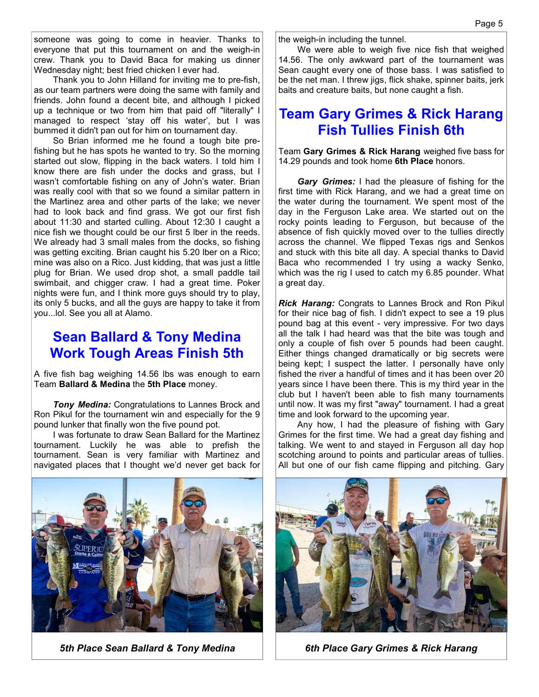someone was going to come in heavier. Thanks to everyone that put this tournament on and the weigh-in crew. Thank you to David Baca for making us dinner Wednesday night; best fried chicken I ever had.

 Thank you to John Hilland for inviting me to pre-fish, as our team partners were doing the same with family and friends. John found a decent bite, and although I picked up a technique or two from him that paid off "literally" I managed to respect 'stay off his water', but I was bummed it didn't pan out for him on tournament day.

 So Brian informed me he found a tough bite prefishing but he has spots he wanted to try. So the morning started out slow, flipping in the back waters. I told him I know there are fish under the docks and grass, but I wasn't comfortable fishing on any of John's water. Brian was really cool with that so we found a similar pattern in the Martinez area and other parts of the lake; we never had to look back and find grass. We got our first fish about 11:30 and started culling. About 12:30 I caught a nice fish we thought could be our first 5 lber in the reeds. We already had 3 small males from the docks, so fishing was getting exciting. Brian caught his 5.20 lber on a Rico; mine was also on a Rico. Just kidding, that was just a little plug for Brian. We used drop shot, a small paddle tail swimbait, and chigger craw. I had a great time. Poker nights were fun, and I think more guys should try to play, its only 5 bucks, and all the guys are happy to take it from you...lol. See you all at Alamo.

#### **Sean Ballard & Tony Medina Work Tough Areas Finish 5th**

A five fish bag weighing 14.56 lbs was enough to earn Team **Ballard & Medina** the **5th Place** money.

*Tony Medina:* Congratulations to Lannes Brock and Ron Pikul for the tournament win and especially for the 9 pound lunker that finally won the five pound pot.

 I was fortunate to draw Sean Ballard for the Martinez tournament. Luckily he was able to prefish the tournament. Sean is very familiar with Martinez and navigated places that I thought we'd never get back for the weigh-in including the tunnel.

 We were able to weigh five nice fish that weighed 14.56. The only awkward part of the tournament was Sean caught every one of those bass. I was satisfied to be the net man. I threw jigs, flick shake, spinner baits, jerk baits and creature baits, but none caught a fish.

#### **Team Gary Grimes & Rick Harang Fish Tullies Finish 6th**

Team **Gary Grimes & Rick Harang** weighed five bass for 14.29 pounds and took home **6th Place** honors.

 *Gary Grimes:* I had the pleasure of fishing for the first time with Rick Harang, and we had a great time on the water during the tournament. We spent most of the day in the Ferguson Lake area. We started out on the rocky points leading to Ferguson, but because of the absence of fish quickly moved over to the tullies directly across the channel. We flipped Texas rigs and Senkos and stuck with this bite all day. A special thanks to David Baca who recommended I try using a wacky Senko, which was the rig I used to catch my 6.85 pounder. What a great day.

*Rick Harang:* Congrats to Lannes Brock and Ron Pikul for their nice bag of fish. I didn't expect to see a 19 plus pound bag at this event - very impressive. For two days all the talk I had heard was that the bite was tough and only a couple of fish over 5 pounds had been caught. Either things changed dramatically or big secrets were being kept; I suspect the latter. I personally have only fished the river a handful of times and it has been over 20 years since I have been there. This is my third year in the club but I haven't been able to fish many tournaments until now. It was my first "away" tournament. I had a great time and look forward to the upcoming year.

 Any how, I had the pleasure of fishing with Gary Grimes for the first time. We had a great day fishing and talking. We went to and stayed in Ferguson all day hop scotching around to points and particular areas of tullies. All but one of our fish came flipping and pitching. Gary



5th Place Sean Ballard & Tony Medina **6th Place Gary Grimes & Rick Harang** 

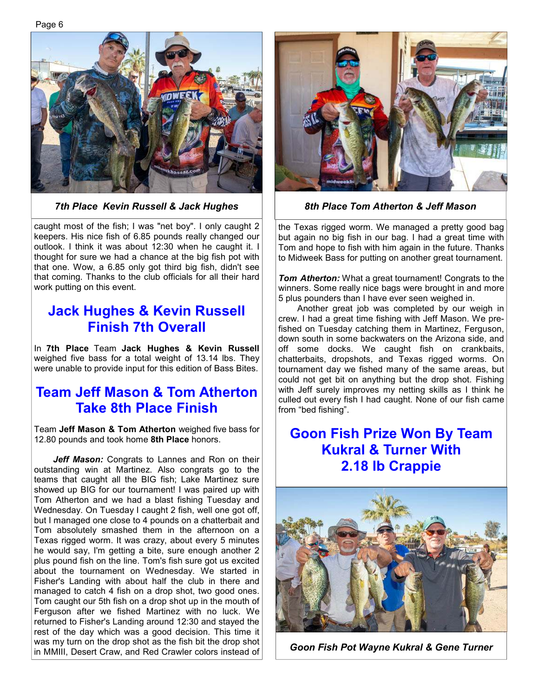Page 6



*7th Place Kevin Russell & Jack Hughes 8th Place Tom Atherton & Jeff Mason* 

caught most of the fish; I was "net boy". I only caught 2 keepers. His nice fish of 6.85 pounds really changed our outlook. I think it was about 12:30 when he caught it. I thought for sure we had a chance at the big fish pot with that one. Wow, a 6.85 only got third big fish, didn't see that coming. Thanks to the club officials for all their hard work putting on this event.

#### **Jack Hughes & Kevin Russell Finish 7th Overall**

In **7th Place** Team **Jack Hughes & Kevin Russell**  weighed five bass for a total weight of 13.14 lbs. They were unable to provide input for this edition of Bass Bites.

### **Team Jeff Mason & Tom Atherton Take 8th Place Finish**

Team **Jeff Mason & Tom Atherton** weighed five bass for 12.80 pounds and took home **8th Place** honors.

*Jeff Mason:* Congrats to Lannes and Ron on their outstanding win at Martinez. Also congrats go to the teams that caught all the BIG fish; Lake Martinez sure showed up BIG for our tournament! I was paired up with Tom Atherton and we had a blast fishing Tuesday and Wednesday. On Tuesday I caught 2 fish, well one got off, but I managed one close to 4 pounds on a chatterbait and Tom absolutely smashed them in the afternoon on a Texas rigged worm. It was crazy, about every 5 minutes he would say, I'm getting a bite, sure enough another 2 plus pound fish on the line. Tom's fish sure got us excited about the tournament on Wednesday. We started in Fisher's Landing with about half the club in there and managed to catch 4 fish on a drop shot, two good ones. Tom caught our 5th fish on a drop shot up in the mouth of Ferguson after we fished Martinez with no luck. We returned to Fisher's Landing around 12:30 and stayed the rest of the day which was a good decision. This time it was my turn on the drop shot as the fish bit the drop shot in MMIII, Desert Craw, and Red Crawler colors instead of



the Texas rigged worm. We managed a pretty good bag but again no big fish in our bag. I had a great time with Tom and hope to fish with him again in the future. Thanks to Midweek Bass for putting on another great tournament.

**Tom Atherton:** What a great tournament! Congrats to the winners. Some really nice bags were brought in and more 5 plus pounders than I have ever seen weighed in.

 Another great job was completed by our weigh in crew. I had a great time fishing with Jeff Mason. We prefished on Tuesday catching them in Martinez, Ferguson, down south in some backwaters on the Arizona side, and off some docks. We caught fish on crankbaits, chatterbaits, dropshots, and Texas rigged worms. On tournament day we fished many of the same areas, but could not get bit on anything but the drop shot. Fishing with Jeff surely improves my netting skills as I think he culled out every fish I had caught. None of our fish came from "bed fishing".

### **Goon Fish Prize Won By Team Kukral & Turner With 2.18 lb Crappie**



*Goon Fish Pot Wayne Kukral & Gene Turner*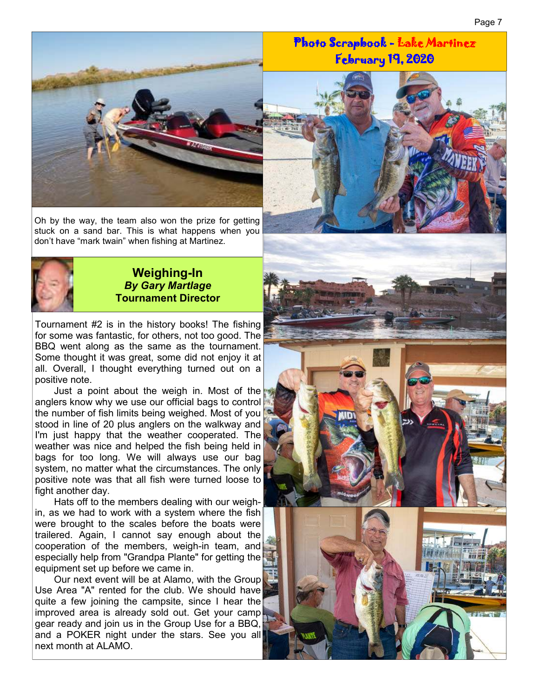

Oh by the way, the team also won the prize for getting stuck on a sand bar. This is what happens when you don't have "mark twain" when fishing at Martinez.



#### **Weighing-In**  *By Gary Martlage*  **Tournament Director**

Tournament #2 is in the history books! The fishing for some was fantastic, for others, not too good. The BBQ went along as the same as the tournament. Some thought it was great, some did not enjoy it at all. Overall, I thought everything turned out on a positive note.

 Just a point about the weigh in. Most of the anglers know why we use our official bags to control the number of fish limits being weighed. Most of you stood in line of 20 plus anglers on the walkway and I'm just happy that the weather cooperated. The weather was nice and helped the fish being held in bags for too long. We will always use our bag system, no matter what the circumstances. The only positive note was that all fish were turned loose to fight another day.

 Hats off to the members dealing with our weighin, as we had to work with a system where the fish were brought to the scales before the boats were trailered. Again, I cannot say enough about the cooperation of the members, weigh-in team, and especially help from "Grandpa Plante" for getting the equipment set up before we came in.

 Our next event will be at Alamo, with the Group Use Area "A" rented for the club. We should have quite a few joining the campsite, since I hear the improved area is already sold out. Get your camp gear ready and join us in the Group Use for a BBQ, and a POKER night under the stars. See you all next month at ALAMO.



Photo Scrapbook - Photo Scrapbook - Lake Martinez